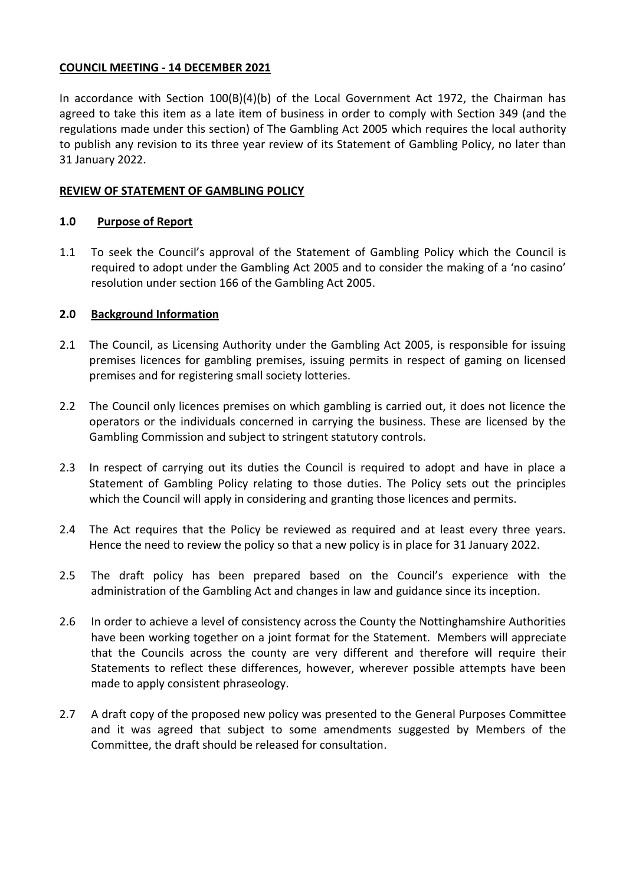## **COUNCIL MEETING - 14 DECEMBER 2021**

In accordance with Section 100(B)(4)(b) of the Local Government Act 1972, the Chairman has agreed to take this item as a late item of business in order to comply with Section 349 (and the regulations made under this section) of The Gambling Act 2005 which requires the local authority to publish any revision to its three year review of its Statement of Gambling Policy, no later than 31 January 2022.

### **REVIEW OF STATEMENT OF GAMBLING POLICY**

#### **1.0 Purpose of Report**

1.1 To seek the Council's approval of the Statement of Gambling Policy which the Council is required to adopt under the Gambling Act 2005 and to consider the making of a 'no casino' resolution under section 166 of the Gambling Act 2005.

#### **2.0 Background Information**

- 2.1 The Council, as Licensing Authority under the Gambling Act 2005, is responsible for issuing premises licences for gambling premises, issuing permits in respect of gaming on licensed premises and for registering small society lotteries.
- 2.2 The Council only licences premises on which gambling is carried out, it does not licence the operators or the individuals concerned in carrying the business. These are licensed by the Gambling Commission and subject to stringent statutory controls.
- 2.3 In respect of carrying out its duties the Council is required to adopt and have in place a Statement of Gambling Policy relating to those duties. The Policy sets out the principles which the Council will apply in considering and granting those licences and permits.
- 2.4 The Act requires that the Policy be reviewed as required and at least every three years. Hence the need to review the policy so that a new policy is in place for 31 January 2022.
- 2.5 The draft policy has been prepared based on the Council's experience with the administration of the Gambling Act and changes in law and guidance since its inception.
- 2.6 In order to achieve a level of consistency across the County the Nottinghamshire Authorities have been working together on a joint format for the Statement. Members will appreciate that the Councils across the county are very different and therefore will require their Statements to reflect these differences, however, wherever possible attempts have been made to apply consistent phraseology.
- 2.7 A draft copy of the proposed new policy was presented to the General Purposes Committee and it was agreed that subject to some amendments suggested by Members of the Committee, the draft should be released for consultation.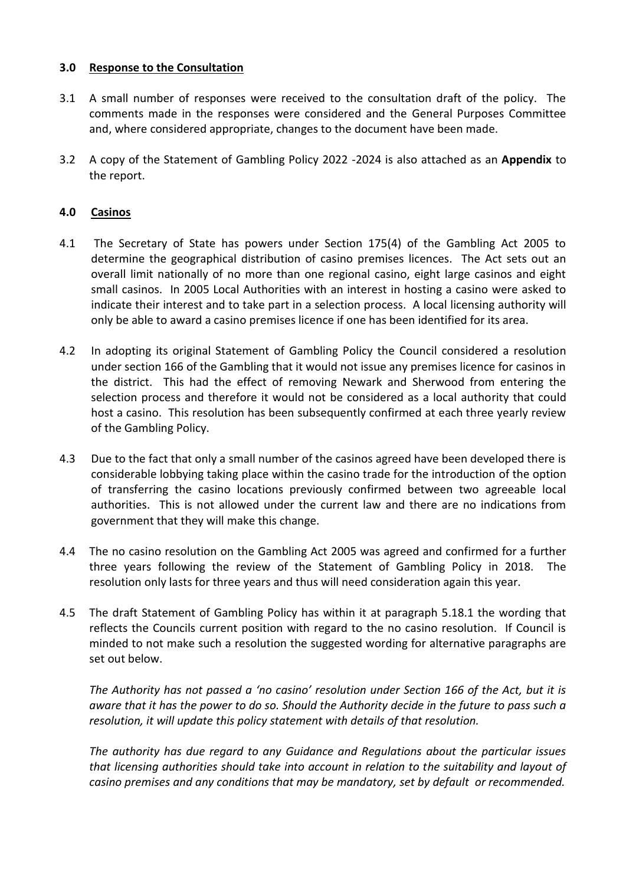# **3.0 Response to the Consultation**

- 3.1 A small number of responses were received to the consultation draft of the policy. The comments made in the responses were considered and the General Purposes Committee and, where considered appropriate, changes to the document have been made.
- 3.2 A copy of the Statement of Gambling Policy 2022 -2024 is also attached as an **Appendix** to the report.

# **4.0 Casinos**

- 4.1 The Secretary of State has powers under Section 175(4) of the Gambling Act 2005 to determine the geographical distribution of casino premises licences. The Act sets out an overall limit nationally of no more than one regional casino, eight large casinos and eight small casinos. In 2005 Local Authorities with an interest in hosting a casino were asked to indicate their interest and to take part in a selection process. A local licensing authority will only be able to award a casino premises licence if one has been identified for its area.
- 4.2 In adopting its original Statement of Gambling Policy the Council considered a resolution under section 166 of the Gambling that it would not issue any premises licence for casinos in the district. This had the effect of removing Newark and Sherwood from entering the selection process and therefore it would not be considered as a local authority that could host a casino. This resolution has been subsequently confirmed at each three yearly review of the Gambling Policy.
- 4.3 Due to the fact that only a small number of the casinos agreed have been developed there is considerable lobbying taking place within the casino trade for the introduction of the option of transferring the casino locations previously confirmed between two agreeable local authorities. This is not allowed under the current law and there are no indications from government that they will make this change.
- 4.4 The no casino resolution on the Gambling Act 2005 was agreed and confirmed for a further three years following the review of the Statement of Gambling Policy in 2018. The resolution only lasts for three years and thus will need consideration again this year.
- 4.5 The draft Statement of Gambling Policy has within it at paragraph 5.18.1 the wording that reflects the Councils current position with regard to the no casino resolution. If Council is minded to not make such a resolution the suggested wording for alternative paragraphs are set out below.

*The Authority has not passed a 'no casino' resolution under Section 166 of the Act, but it is aware that it has the power to do so. Should the Authority decide in the future to pass such a resolution, it will update this policy statement with details of that resolution.*

*The authority has due regard to any Guidance and Regulations about the particular issues that licensing authorities should take into account in relation to the suitability and layout of casino premises and any conditions that may be mandatory, set by default or recommended.*